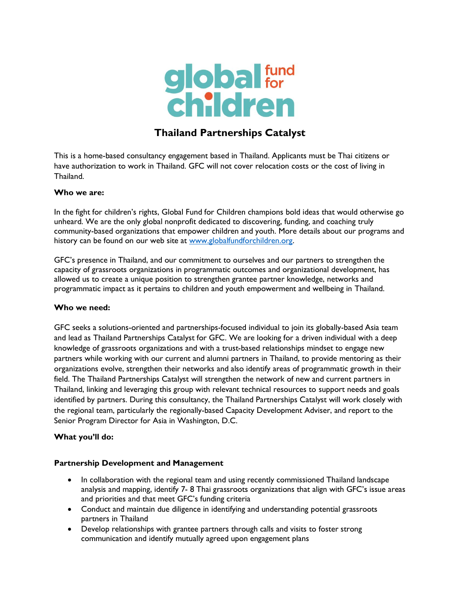

# **Thailand Partnerships Catalyst**

This is a home-based consultancy engagement based in Thailand. Applicants must be Thai citizens or have authorization to work in Thailand. GFC will not cover relocation costs or the cost of living in Thailand.

#### **Who we are:**

In the fight for children's rights, Global Fund for Children champions bold ideas that would otherwise go unheard. We are the only global nonprofit dedicated to discovering, funding, and coaching truly community-based organizations that empower children and youth. More details about our programs and history can be found on our web site at [www.globalfundforchildren.org.](http://www.globalfundforchildren.org/)

GFC's presence in Thailand, and our commitment to ourselves and our partners to strengthen the capacity of grassroots organizations in programmatic outcomes and organizational development, has allowed us to create a unique position to strengthen grantee partner knowledge, networks and programmatic impact as it pertains to children and youth empowerment and wellbeing in Thailand.

#### **Who we need:**

GFC seeks a solutions-oriented and partnerships-focused individual to join its globally-based Asia team and lead as Thailand Partnerships Catalyst for GFC. We are looking for a driven individual with a deep knowledge of grassroots organizations and with a trust-based relationships mindset to engage new partners while working with our current and alumni partners in Thailand, to provide mentoring as their organizations evolve, strengthen their networks and also identify areas of programmatic growth in their field. The Thailand Partnerships Catalyst will strengthen the network of new and current partners in Thailand, linking and leveraging this group with relevant technical resources to support needs and goals identified by partners. During this consultancy, the Thailand Partnerships Catalyst will work closely with the regional team, particularly the regionally-based Capacity Development Adviser, and report to the Senior Program Director for Asia in Washington, D.C.

## **What you'll do:**

## **Partnership Development and Management**

- In collaboration with the regional team and using recently commissioned Thailand landscape analysis and mapping, identify 7- 8 Thai grassroots organizations that align with GFC's issue areas and priorities and that meet GFC's funding criteria
- Conduct and maintain due diligence in identifying and understanding potential grassroots partners in Thailand
- Develop relationships with grantee partners through calls and visits to foster strong communication and identify mutually agreed upon engagement plans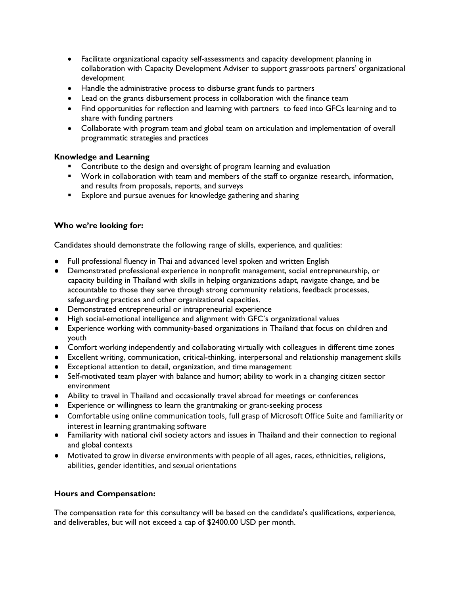- Facilitate organizational capacity self-assessments and capacity development planning in collaboration with Capacity Development Adviser to support grassroots partners' organizational development
- Handle the administrative process to disburse grant funds to partners
- Lead on the grants disbursement process in collaboration with the finance team
- Find opportunities for reflection and learning with partners to feed into GFCs learning and to share with funding partners
- Collaborate with program team and global team on articulation and implementation of overall programmatic strategies and practices

## **Knowledge and Learning**

- **•** Contribute to the design and oversight of program learning and evaluation
- Work in collaboration with team and members of the staff to organize research, information, and results from proposals, reports, and surveys
- **Explore and pursue avenues for knowledge gathering and sharing**

## **Who we're looking for:**

Candidates should demonstrate the following range of skills, experience, and qualities:

- Full professional fluency in Thai and advanced level spoken and written English
- Demonstrated professional experience in nonprofit management, social entrepreneurship, or capacity building in Thailand with skills in helping organizations adapt, navigate change, and be accountable to those they serve through strong community relations, feedback processes, safeguarding practices and other organizational capacities.
- Demonstrated entrepreneurial or intrapreneurial experience
- High social-emotional intelligence and alignment with GFC's organizational values
- Experience working with community-based organizations in Thailand that focus on children and youth
- Comfort working independently and collaborating virtually with colleagues in different time zones
- Excellent writing, communication, critical-thinking, interpersonal and relationship management skills
- Exceptional attention to detail, organization, and time management
- Self-motivated team player with balance and humor; ability to work in a changing citizen sector environment
- Ability to travel in Thailand and occasionally travel abroad for meetings or conferences
- Experience or willingness to learn the grantmaking or grant-seeking process
- Comfortable using online communication tools, full grasp of Microsoft Office Suite and familiarity or interest in learning grantmaking software
- Familiarity with national civil society actors and issues in Thailand and their connection to regional and global contexts
- Motivated to grow in diverse environments with people of all ages, races, ethnicities, religions, abilities, gender identities, and sexual orientations

## **Hours and Compensation:**

The compensation rate for this consultancy will be based on the candidate's qualifications, experience, and deliverables, but will not exceed a cap of \$2400.00 USD per month.